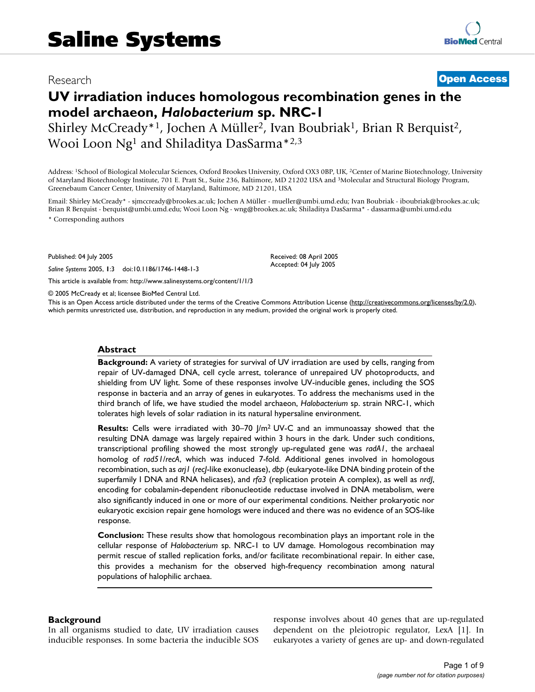## Research **[Open Access](http://www.biomedcentral.com/info/about/charter/)**

# **UV irradiation induces homologous recombination genes in the model archaeon,** *Halobacterium* **sp. NRC-1**

Shirley McCready\*<sup>1</sup>, Jochen A Müller<sup>2</sup>, Ivan Boubriak<sup>1</sup>, Brian R Berquist<sup>2</sup>, Wooi Loon Ng1 and Shiladitya DasSarma\*2,3

Address: 1School of Biological Molecular Sciences, Oxford Brookes University, Oxford OX3 0BP, UK, 2Center of Marine Biotechnology, University of Maryland Biotechnology Institute, 701 E. Pratt St., Suite 236, Baltimore, MD 21202 USA and 3Molecular and Structural Biology Program, Greenebaum Cancer Center, University of Maryland, Baltimore, MD 21201, USA

Email: Shirley McCready\* - sjmccready@brookes.ac.uk; Jochen A Müller - mueller@umbi.umd.edu; Ivan Boubriak - iboubriak@brookes.ac.uk; Brian R Berquist - berquist@umbi.umd.edu; Wooi Loon Ng - wng@brookes.ac.uk; Shiladitya DasSarma\* - dassarma@umbi.umd.edu \* Corresponding authors

> Received: 08 April 2005 Accepted: 04 July 2005

Published: 04 July 2005

*Saline Systems* 2005, **1**:3 doi:10.1186/1746-1448-1-3

[This article is available from: http://www.salinesystems.org/content/1/1/3](http://www.salinesystems.org/content/1/1/3)

© 2005 McCready et al; licensee BioMed Central Ltd.

This is an Open Access article distributed under the terms of the Creative Commons Attribution License [\(http://creativecommons.org/licenses/by/2.0\)](http://creativecommons.org/licenses/by/2.0), which permits unrestricted use, distribution, and reproduction in any medium, provided the original work is properly cited.

#### **Abstract**

**Background:** A variety of strategies for survival of UV irradiation are used by cells, ranging from repair of UV-damaged DNA, cell cycle arrest, tolerance of unrepaired UV photoproducts, and shielding from UV light. Some of these responses involve UV-inducible genes, including the SOS response in bacteria and an array of genes in eukaryotes. To address the mechanisms used in the third branch of life, we have studied the model archaeon, *Halobacterium* sp. strain NRC-1, which tolerates high levels of solar radiation in its natural hypersaline environment.

**Results:** Cells were irradiated with 30–70  $/m^2$  UV-C and an immunoassay showed that the resulting DNA damage was largely repaired within 3 hours in the dark. Under such conditions, transcriptional profiling showed the most strongly up-regulated gene was *radA1*, the archaeal homolog of *rad51*/*recA*, which was induced 7-fold. Additional genes involved in homologous recombination, such as *arj1* (*recJ*-like exonuclease), *dbp* (eukaryote-like DNA binding protein of the superfamily I DNA and RNA helicases), and *rfa3* (replication protein A complex), as well as *nrdJ*, encoding for cobalamin-dependent ribonucleotide reductase involved in DNA metabolism, were also significantly induced in one or more of our experimental conditions. Neither prokaryotic nor eukaryotic excision repair gene homologs were induced and there was no evidence of an SOS-like response.

**Conclusion:** These results show that homologous recombination plays an important role in the cellular response of *Halobacterium* sp. NRC-1 to UV damage. Homologous recombination may permit rescue of stalled replication forks, and/or facilitate recombinational repair. In either case, this provides a mechanism for the observed high-frequency recombination among natural populations of halophilic archaea.

### **Background**

In all organisms studied to date, UV irradiation causes inducible responses. In some bacteria the inducible SOS response involves about 40 genes that are up-regulated dependent on the pleiotropic regulator, LexA [1]. In eukaryotes a variety of genes are up- and down-regulated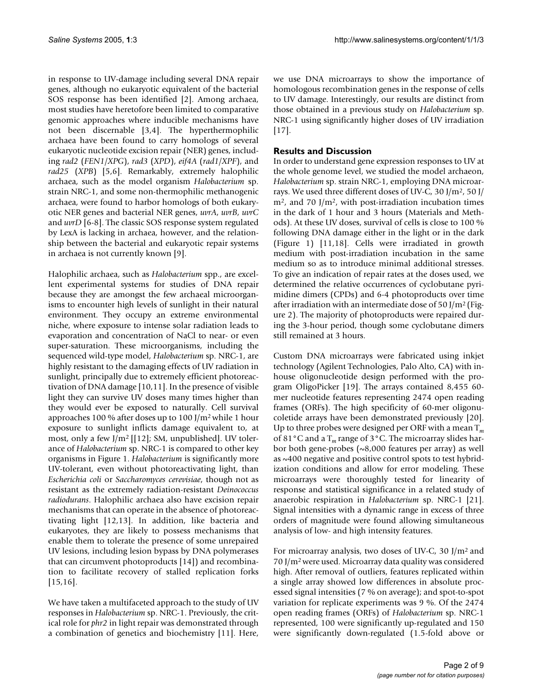in response to UV-damage including several DNA repair genes, although no eukaryotic equivalent of the bacterial SOS response has been identified [2]. Among archaea, most studies have heretofore been limited to comparative genomic approaches where inducible mechanisms have not been discernable [3,4]. The hyperthermophilic archaea have been found to carry homologs of several eukaryotic nucleotide excision repair (NER) genes, including *rad2* (*FEN1*/*XPG*), *rad3* (*XPD*), *eif4A* (*rad1*/*XPF*), and *rad25* (*XPB*) [5,6]. Remarkably, extremely halophilic archaea, such as the model organism *Halobacterium* sp. strain NRC-1, and some non-thermophilic methanogenic archaea, were found to harbor homologs of both eukaryotic NER genes and bacterial NER genes, *uvrA*, *uvrB*, *uvrC* and *uvrD* [6-8]. The classic SOS response system regulated by LexA is lacking in archaea, however, and the relationship between the bacterial and eukaryotic repair systems in archaea is not currently known [9].

Halophilic archaea, such as *Halobacterium* spp., are excellent experimental systems for studies of DNA repair because they are amongst the few archaeal microorganisms to encounter high levels of sunlight in their natural environment. They occupy an extreme environmental niche, where exposure to intense solar radiation leads to evaporation and concentration of NaCl to near- or even super-saturation. These microorganisms, including the sequenced wild-type model, *Halobacterium* sp. NRC-1, are highly resistant to the damaging effects of UV radiation in sunlight, principally due to extremely efficient photoreactivation of DNA damage [10,11]. In the presence of visible light they can survive UV doses many times higher than they would ever be exposed to naturally. Cell survival approaches 100 % after doses up to 100 J/m2 while 1 hour exposure to sunlight inflicts damage equivalent to, at most, only a few J/m2 [[12]; SM, unpublished]. UV tolerance of *Halobacterium* sp. NRC-1 is compared to other key organisms in Figure [1.](#page-2-0) *Halobacterium* is significantly more UV-tolerant, even without photoreactivating light, than *Escherichia coli* or *Saccharomyces cerevisiae*, though not as resistant as the extremely radiation-resistant *Deinococcus radiodurans*. Halophilic archaea also have excision repair mechanisms that can operate in the absence of photoreactivating light [12,13]. In addition, like bacteria and eukaryotes, they are likely to possess mechanisms that enable them to tolerate the presence of some unrepaired UV lesions, including lesion bypass by DNA polymerases that can circumvent photoproducts [14]) and recombination to facilitate recovery of stalled replication forks [15,16].

We have taken a multifaceted approach to the study of UV responses in *Halobacterium* sp. NRC-1. Previously, the critical role for *phr2* in light repair was demonstrated through a combination of genetics and biochemistry [11]. Here,

we use DNA microarrays to show the importance of homologous recombination genes in the response of cells to UV damage. Interestingly, our results are distinct from those obtained in a previous study on *Halobacterium* sp. NRC-1 using significantly higher doses of UV irradiation [17].

## **Results and Discussion**

In order to understand gene expression responses to UV at the whole genome level, we studied the model archaeon, *Halobacterium* sp. strain NRC-1, employing DNA microarrays. We used three different doses of UV-C, 30 J/m2, 50 J/  $m<sup>2</sup>$ , and 70 J/m<sup>2</sup>, with post-irradiation incubation times in the dark of 1 hour and 3 hours (Materials and Methods). At these UV doses, survival of cells is close to 100 % following DNA damage either in the light or in the dark (Figure [1](#page-2-0)) [11,18]. Cells were irradiated in growth medium with post-irradiation incubation in the same medium so as to introduce minimal additional stresses. To give an indication of repair rates at the doses used, we determined the relative occurrences of cyclobutane pyrimidine dimers (CPDs) and 6-4 photoproducts over time after irradiation with an intermediate dose of 50 J/m<sup>2</sup> (Figure [2\)](#page-3-0). The majority of photoproducts were repaired during the 3-hour period, though some cyclobutane dimers still remained at 3 hours.

Custom DNA microarrays were fabricated using inkjet technology (Agilent Technologies, Palo Alto, CA) with inhouse oligonucleotide design performed with the program OligoPicker [19]. The arrays contained 8,455 60 mer nucleotide features representing 2474 open reading frames (ORFs). The high specificity of 60-mer oligonucoletide arrays have been demonstrated previously [20]. Up to three probes were designed per ORF with a mean T*<sup>m</sup>* of 81°C and a T*m* range of 3°C. The microarray slides harbor both gene-probes (~8,000 features per array) as well as  $\sim$ 400 negative and positive control spots to test hybridization conditions and allow for error modeling. These microarrays were thoroughly tested for linearity of response and statistical significance in a related study of anaerobic respiration in *Halobacterium* sp. NRC-1 [21]. Signal intensities with a dynamic range in excess of three orders of magnitude were found allowing simultaneous analysis of low- and high intensity features.

For microarray analysis, two doses of UV-C, 30 J/m2 and 70 J/m2 were used. Microarray data quality was considered high. After removal of outliers, features replicated within a single array showed low differences in absolute processed signal intensities (7 % on average); and spot-to-spot variation for replicate experiments was 9 %. Of the 2474 open reading frames (ORFs) of *Halobacterium* sp. NRC-1 represented, 100 were significantly up-regulated and 150 were significantly down-regulated (1.5-fold above or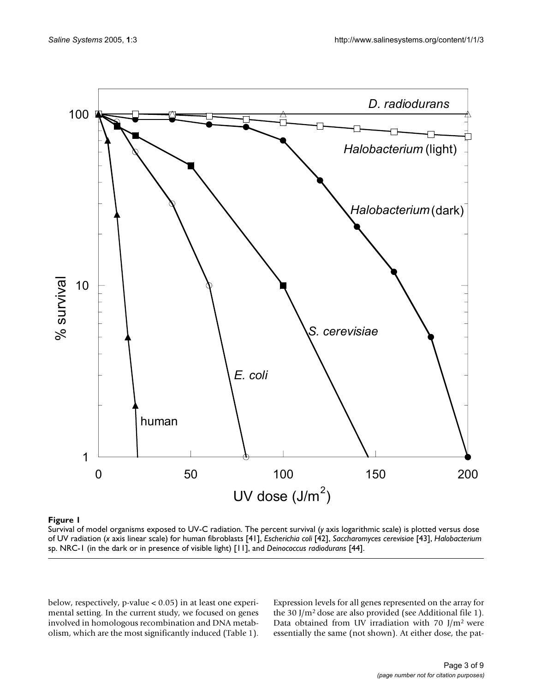<span id="page-2-0"></span>

#### **Figure 1**

Survival of model organisms exposed to UV-C radiation. The percent survival (*y* axis logarithmic scale) is plotted versus dose of UV radiation (*x* axis linear scale) for human fibroblasts [41], *Escherichia coli* [42], *Saccharomyces cerevisiae* [43], *Halobacterium*  sp. NRC-1 (in the dark or in presence of visible light) [11], and *Deinococcus radiodurans* [44].

below, respectively, p-value < 0.05) in at least one experimental setting. In the current study, we focused on genes involved in homologous recombination and DNA metabolism, which are the most significantly induced (Table [1\)](#page-4-0). Expression levels for all genes represented on the array for the 30 J/m2 dose are also provided (see Additional file 1). Data obtained from UV irradiation with 70 J/m<sup>2</sup> were essentially the same (not shown). At either dose, the pat-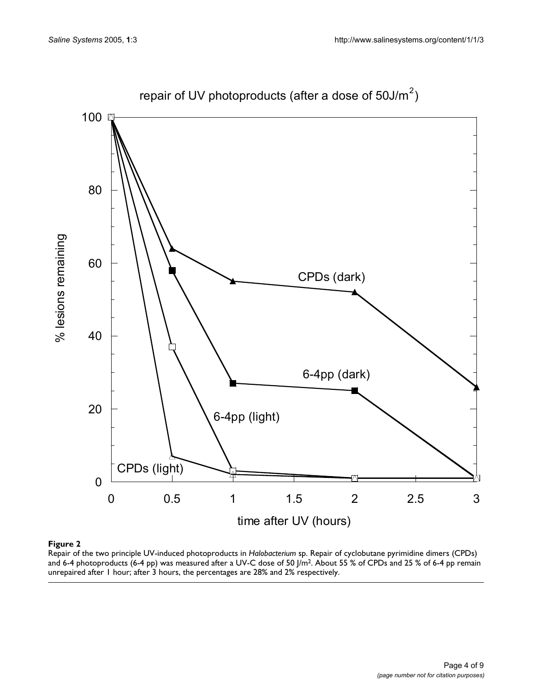<span id="page-3-0"></span>

# repair of UV photoproducts (after a dose of  $50J/m<sup>2</sup>$ )

## **Figure 2**

Repair of the two principle UV-induced photoproducts in *Halobacterium* sp. Repair of cyclobutane pyrimidine dimers (CPDs) and 6-4 photoproducts (6-4 pp) was measured after a UV-C dose of 50 J/m<sup>2</sup>. About 55 % of CPDs and 25 % of 6-4 pp remain unrepaired after 1 hour; after 3 hours, the percentages are 28% and 2% respectively.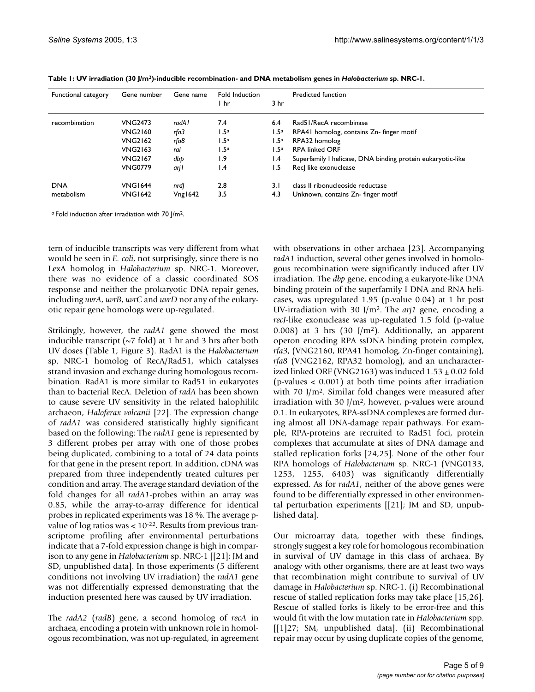| Functional category | Gene number    | Gene name | Fold Induction   |                  | Predicted function                                          |
|---------------------|----------------|-----------|------------------|------------------|-------------------------------------------------------------|
|                     |                |           | l hr             | 3 <sub>hr</sub>  |                                                             |
| recombination       | VNG2473        | radA l    | 7.4              | 6.4              | Rad51/RecA recombinase                                      |
|                     | <b>VNG2160</b> | rfa3      | 1.5 <sup>a</sup> | 1.5 <sup>a</sup> | RPA41 homolog, contains Zn- finger motif                    |
|                     | <b>VNG2162</b> | rfa8      | l.5ª             | 1.5 <sup>a</sup> | RPA32 homolog                                               |
|                     | <b>VNG2163</b> | ral       | 1.5 <sup>a</sup> | 1.5 <sup>a</sup> | <b>RPA linked ORF</b>                                       |
|                     | <b>VNG2167</b> | dbp       | 1.9              | $\mathsf{I}$ .4  | Superfamily I helicase, DNA binding protein eukaryotic-like |
|                     | <b>VNG0779</b> | arj l     | $\mathsf{I}$ .4  | ۱.5              | RecJ like exonuclease                                       |
| <b>DNA</b>          | <b>VNG1644</b> | nrdl      | 2.8              | 3.1              | class II ribonucleoside reductase                           |
| metabolism          | <b>VNG1642</b> | Vng1642   | 3.5              | 4.3              | Unknown, contains Zn- finger motif                          |

<span id="page-4-0"></span>**Table 1: UV irradiation (30 J/m2)-inducible recombination- and DNA metabolism genes in** *Halobacterium* **sp. NRC-1.**

*a* Fold induction after irradiation with 70 J/m2.

tern of inducible transcripts was very different from what would be seen in *E. coli*, not surprisingly, since there is no LexA homolog in *Halobacterium* sp. NRC-1. Moreover, there was no evidence of a classic coordinated SOS response and neither the prokaryotic DNA repair genes, including *uvrA*, *uvrB*, *uvrC* and *uvrD* nor any of the eukaryotic repair gene homologs were up-regulated.

Strikingly, however, the *radA1* gene showed the most inducible transcript  $(\sim 7 \text{ fold})$  at 1 hr and 3 hrs after both UV doses (Table [1;](#page-4-0) Figure [3](#page-5-0)). RadA1 is the *Halobacterium* sp. NRC-1 homolog of RecA/Rad51, which catalyses strand invasion and exchange during homologous recombination. RadA1 is more similar to Rad51 in eukaryotes than to bacterial RecA. Deletion of *radA* has been shown to cause severe UV sensitivity in the related halophililc archaeon, *Haloferax volcanii* [22]. The expression change of *radA1* was considered statistically highly significant based on the following: The *radA1* gene is represented by 3 different probes per array with one of those probes being duplicated, combining to a total of 24 data points for that gene in the present report. In addition, cDNA was prepared from three independently treated cultures per condition and array. The average standard deviation of the fold changes for all *radA1*-probes within an array was 0.85, while the array-to-array difference for identical probes in replicated experiments was 18 %. The average pvalue of log ratios was  $< 10^{-22}$ . Results from previous transcriptome profiling after environmental perturbations indicate that a 7-fold expression change is high in comparison to any gene in *Halobacterium* sp. NRC-1 [[21]; JM and SD, unpublished data]. In those experiments (5 different conditions not involving UV irradiation) the *radA1* gene was not differentially expressed demonstrating that the induction presented here was caused by UV irradiation.

The *radA2* (*radB*) gene, a second homolog of *recA* in archaea, encoding a protein with unknown role in homologous recombination, was not up-regulated, in agreement with observations in other archaea [23]. Accompanying *radA1* induction, several other genes involved in homologous recombination were significantly induced after UV irradiation. The *dbp* gene, encoding a eukaryote-like DNA binding protein of the superfamily I DNA and RNA helicases, was upregulated 1.95 (p-value 0.04) at 1 hr post UV-irradiation with 30 J/m2. The *arj1* gene, encoding a *recJ*-like exonuclease was up-regulated 1.5 fold (p-value 0.008) at 3 hrs  $(30 \text{ J/m}^2)$ . Additionally, an apparent operon encoding RPA ssDNA binding protein complex, *rfa3*, (VNG2160, RPA41 homolog, Zn-finger containing), *rfa8* (VNG2162, RPA32 homolog), and an uncharacterized linked ORF (VNG2163) was induced  $1.53 \pm 0.02$  fold (p-values < 0.001) at both time points after irradiation with 70 J/m<sup>2</sup>. Similar fold changes were measured after irradiation with 30 J/m2, however, p-values were around 0.1. In eukaryotes, RPA-ssDNA complexes are formed during almost all DNA-damage repair pathways. For example, RPA-proteins are recruited to Rad51 foci, protein complexes that accumulate at sites of DNA damage and stalled replication forks [24,25]. None of the other four RPA homologs of *Halobacterium* sp. NRC-1 (VNG0133, 1253, 1255, 6403) was significantly differentially expressed. As for *radA1*, neither of the above genes were found to be differentially expressed in other environmental perturbation experiments [[21]; JM and SD, unpublished data].

Our microarray data, together with these findings, strongly suggest a key role for homologous recombination in survival of UV damage in this class of archaea. By analogy with other organisms, there are at least two ways that recombination might contribute to survival of UV damage in *Halobacterium* sp. NRC-1. (i) Recombinational rescue of stalled replication forks may take place [15,26]. Rescue of stalled forks is likely to be error-free and this would fit with the low mutation rate in *Halobacterium* spp. [[1]27; SM, unpublished data]. (ii) Recombinational repair may occur by using duplicate copies of the genome,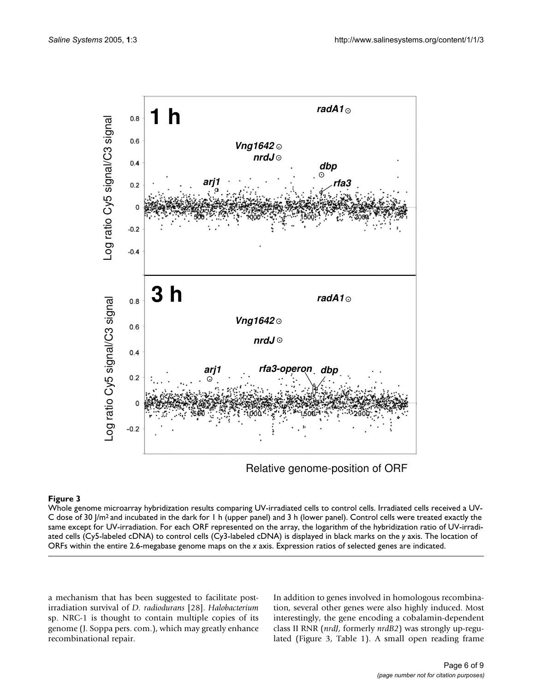<span id="page-5-0"></span>

Relative genome-position of ORF

## Whole genome microarray hybrid **Figure 3** ization results comparing UV-irradiated cells to control cells

Whole genome microarray hybridization results comparing UV-irradiated cells to control cells. Irradiated cells received a UV-C dose of 30 J/m2 and incubated in the dark for 1 h (upper panel) and 3 h (lower panel). Control cells were treated exactly the same except for UV-irradiation. For each ORF represented on the array, the logarithm of the hybridization ratio of UV-irradiated cells (Cy5-labeled cDNA) to control cells (Cy3-labeled cDNA) is displayed in black marks on the *y* axis. The location of ORFs within the entire 2.6-megabase genome maps on the *x* axis. Expression ratios of selected genes are indicated.

a mechanism that has been suggested to facilitate postirradiation survival of *D. radiodurans* [28]. *Halobacterium* sp. NRC-1 is thought to contain multiple copies of its genome (J. Soppa pers. com.), which may greatly enhance recombinational repair.

In addition to genes involved in homologous recombination, several other genes were also highly induced. Most interestingly, the gene encoding a cobalamin-dependent class II RNR (*nrdJ*, formerly *nrdB2*) was strongly up-regulated (Figure [3](#page-5-0), Table [1](#page-4-0)). A small open reading frame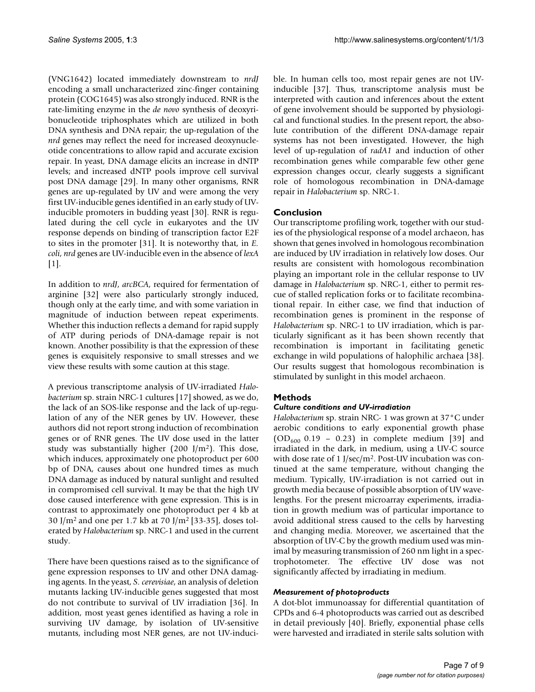(VNG1642) located immediately downstream to *nrdJ* encoding a small uncharacterized zinc-finger containing protein (COG1645) was also strongly induced. RNR is the rate-limiting enzyme in the *de novo* synthesis of deoxyribonucleotide triphosphates which are utilized in both DNA synthesis and DNA repair; the up-regulation of the *nrd* genes may reflect the need for increased deoxynucleotide concentrations to allow rapid and accurate excision repair. In yeast, DNA damage elicits an increase in dNTP levels; and increased dNTP pools improve cell survival post DNA damage [29]. In many other organisms, RNR genes are up-regulated by UV and were among the very first UV-inducible genes identified in an early study of UVinducible promoters in budding yeast [30]. RNR is regulated during the cell cycle in eukaryotes and the UV response depends on binding of transcription factor E2F to sites in the promoter [31]. It is noteworthy that, in *E. coli*, *nrd* genes are UV-inducible even in the absence of *lexA*  $[1]$ .

In addition to *nrdJ*, *arcBCA*, required for fermentation of arginine [32] were also particularly strongly induced, though only at the early time, and with some variation in magnitude of induction between repeat experiments. Whether this induction reflects a demand for rapid supply of ATP during periods of DNA-damage repair is not known. Another possibility is that the expression of these genes is exquisitely responsive to small stresses and we view these results with some caution at this stage.

A previous transcriptome analysis of UV-irradiated *Halobacterium* sp. strain NRC-1 cultures [17] showed, as we do, the lack of an SOS-like response and the lack of up-regulation of any of the NER genes by UV. However, these authors did not report strong induction of recombination genes or of RNR genes. The UV dose used in the latter study was substantially higher  $(200 \text{ J/m}^2)$ . This dose, which induces, approximately one photoproduct per 600 bp of DNA, causes about one hundred times as much DNA damage as induced by natural sunlight and resulted in compromised cell survival. It may be that the high UV dose caused interference with gene expression. This is in contrast to approximately one photoproduct per 4 kb at 30 J/m2 and one per 1.7 kb at 70 J/m2 [33-35], doses tolerated by *Halobacterium* sp. NRC-1 and used in the current study.

There have been questions raised as to the significance of gene expression responses to UV and other DNA damaging agents. In the yeast, *S. cerevisiae*, an analysis of deletion mutants lacking UV-inducible genes suggested that most do not contribute to survival of UV irradiation [36]. In addition, most yeast genes identified as having a role in surviving UV damage, by isolation of UV-sensitive mutants, including most NER genes, are not UV-inducible. In human cells too, most repair genes are not UVinducible [37]. Thus, transcriptome analysis must be interpreted with caution and inferences about the extent of gene involvement should be supported by physiological and functional studies. In the present report, the absolute contribution of the different DNA-damage repair systems has not been investigated. However, the high level of up-regulation of *radA1* and induction of other recombination genes while comparable few other gene expression changes occur, clearly suggests a significant role of homologous recombination in DNA-damage repair in *Halobacterium* sp. NRC-1.

## **Conclusion**

Our transcriptome profiling work, together with our studies of the physiological response of a model archaeon, has shown that genes involved in homologous recombination are induced by UV irradiation in relatively low doses. Our results are consistent with homologous recombination playing an important role in the cellular response to UV damage in *Halobacterium* sp. NRC-1, either to permit rescue of stalled replication forks or to facilitate recombinational repair. In either case, we find that induction of recombination genes is prominent in the response of *Halobacterium* sp. NRC-1 to UV irradiation, which is particularly significant as it has been shown recently that recombination is important in facilitating genetic exchange in wild populations of halophilic archaea [38]. Our results suggest that homologous recombination is stimulated by sunlight in this model archaeon.

## **Methods**

## *Culture conditions and UV-irradiation*

*Halobacterium* sp. strain NRC- 1 was grown at 37°C under aerobic conditions to early exponential growth phase  $(OD_{600} 0.19 - 0.23)$  in complete medium [39] and irradiated in the dark, in medium, using a UV-C source with dose rate of 1 J/sec/m<sup>2</sup>. Post-UV incubation was continued at the same temperature, without changing the medium. Typically, UV-irradiation is not carried out in growth media because of possible absorption of UV wavelengths. For the present microarray experiments, irradiation in growth medium was of particular importance to avoid additional stress caused to the cells by harvesting and changing media. Moreover, we ascertained that the absorption of UV-C by the growth medium used was minimal by measuring transmission of 260 nm light in a spectrophotometer. The effective UV dose was not significantly affected by irradiating in medium.

## *Measurement of photoproducts*

A dot-blot immunoassay for differential quantitation of CPDs and 6-4 photoproducts was carried out as described in detail previously [40]. Briefly, exponential phase cells were harvested and irradiated in sterile salts solution with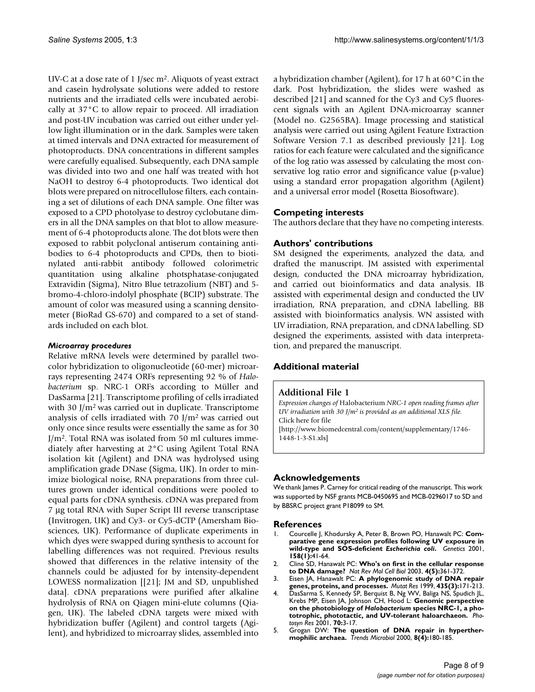UV-C at a dose rate of 1 J/sec m2. Aliquots of yeast extract and casein hydrolysate solutions were added to restore nutrients and the irradiated cells were incubated aerobically at 37°C to allow repair to proceed. All irradiation and post-UV incubation was carried out either under yellow light illumination or in the dark. Samples were taken at timed intervals and DNA extracted for measurement of photoproducts. DNA concentrations in different samples were carefully equalised. Subsequently, each DNA sample was divided into two and one half was treated with hot NaOH to destroy 6-4 photoproducts. Two identical dot blots were prepared on nitrocellulose filters, each containing a set of dilutions of each DNA sample. One filter was exposed to a CPD photolyase to destroy cyclobutane dimers in all the DNA samples on that blot to allow measurement of 6-4 photoproducts alone. The dot blots were then exposed to rabbit polyclonal antiserum containing antibodies to 6-4 photoproducts and CPDs, then to biotinylated anti-rabbit antibody followed colorimetric quantitation using alkaline photsphatase-conjugated Extravidin (Sigma), Nitro Blue tetrazolium (NBT) and 5 bromo-4-chloro-indolyl phosphate (BCIP) substrate. The amount of color was measured using a scanning densitometer (BioRad GS-670) and compared to a set of standards included on each blot.

### *Microarray procedures*

Relative mRNA levels were determined by parallel twocolor hybridization to oligonucleotide (60-mer) microarrays representing 2474 ORFs representing 92 % of *Halobacterium* sp. NRC-1 ORFs according to Müller and DasSarma [21]. Transcriptome profiling of cells irradiated with 30 J/m<sup>2</sup> was carried out in duplicate. Transcriptome analysis of cells irradiated with 70 J/m2 was carried out only once since results were essentially the same as for 30 J/m2. Total RNA was isolated from 50 ml cultures immediately after harvesting at 2°C using Agilent Total RNA isolation kit (Agilent) and DNA was hydrolysed using amplification grade DNase (Sigma, UK). In order to minimize biological noise, RNA preparations from three cultures grown under identical conditions were pooled to equal parts for cDNA synthesis. cDNA was prepared from 7 µg total RNA with Super Script III reverse transcriptase (Invitrogen, UK) and Cy3- or Cy5-dCTP (Amersham Biosciences, UK). Performance of duplicate experiments in which dyes were swapped during synthesis to account for labelling differences was not required. Previous results showed that differences in the relative intensity of the channels could be adjusted for by intensity-dependent LOWESS normalization [[21]; JM and SD, unpublished data]. cDNA preparations were purified after alkaline hydrolysis of RNA on Qiagen mini-elute columns (Qiagen, UK). The labeled cDNA targets were mixed with hybridization buffer (Agilent) and control targets (Agilent), and hybridized to microarray slides, assembled into a hybridization chamber (Agilent), for 17 h at 60°C in the dark. Post hybridization, the slides were washed as described [21] and scanned for the Cy3 and Cy5 fluorescent signals with an Agilent DNA-microarray scanner (Model no. G2565BA). Image processing and statistical analysis were carried out using Agilent Feature Extraction Software Version 7.1 as described previously [21]. Log ratios for each feature were calculated and the significance of the log ratio was assessed by calculating the most conservative log ratio error and significance value (p-value) using a standard error propagation algorithm (Agilent) and a universal error model (Rosetta Biosoftware).

## **Competing interests**

The authors declare that they have no competing interests.

## **Authors' contributions**

SM designed the experiments, analyzed the data, and drafted the manuscript. JM assisted with experimental design, conducted the DNA microarray hybridization, and carried out bioinformatics and data analysis. IB assisted with experimental design and conducted the UV irradiation, RNA preparation, and cDNA labelling. BB assisted with bioinformatics analysis. WN assisted with UV irradiation, RNA preparation, and cDNA labelling. SD designed the experiments, assisted with data interpretation, and prepared the manuscript.

## **Additional material**

## **Additional File 1**

*Expression changes of* Halobacterium *NRC-1 open reading frames after UV irradiation with 30 J/m2 is provided as an additional XLS file.* Click here for file [\[http://www.biomedcentral.com/content/supplementary/1746-](http://www.biomedcentral.com/content/supplementary/1746-1448-1-3-S1.xls)

1448-1-3-S1.xls]

## **Acknowledgements**

We thank James P. Carney for critical reading of the manuscript. This work was supported by NSF grants MCB-0450695 and MCB-0296017 to SD and by BBSRC project grant P18099 to SM.

### **References**

- 1. Courcelle J, Khodursky A, Peter B, Brown PO, Hanawalt PC: **Comparative gene expression profiles following UV exposure in wild-type and SOS-deficient** *Escherichia coli***[.](http://www.ncbi.nlm.nih.gov/entrez/query.fcgi?cmd=Retrieve&db=PubMed&dopt=Abstract&list_uids=11333217)** *Genetics* 2001, **158(1):**41-64.
- 2. Cline SD, Hanawalt PC: **[Who's on first in the cellular response](http://www.ncbi.nlm.nih.gov/entrez/query.fcgi?cmd=Retrieve&db=PubMed&dopt=Abstract&list_uids=12728270) [to DNA damage?](http://www.ncbi.nlm.nih.gov/entrez/query.fcgi?cmd=Retrieve&db=PubMed&dopt=Abstract&list_uids=12728270)** *Nat Rev Mol Cell Biol* 2003, **4(5):**361-372.
- 3. Eisen JA, Hanawalt PC: **[A phylogenomic study of DNA repair](http://www.ncbi.nlm.nih.gov/entrez/query.fcgi?cmd=Retrieve&db=PubMed&dopt=Abstract&list_uids=10606811) [genes, proteins, and processes.](http://www.ncbi.nlm.nih.gov/entrez/query.fcgi?cmd=Retrieve&db=PubMed&dopt=Abstract&list_uids=10606811)** *Mutat Res* 1999, **435(3):**171-213.
- 4. DasSarma S, Kennedy SP, Berquist B, Ng WV, Baliga NS, Spudich JL, Krebs MP, Eisen JA, Johnson CH, Hood L: **Genomic perspective on the photobiology of** *Halobacterium* **species NRC-1, a phototrophic, phototactic, and UV-tolerant haloarchaeon.** *Photosyn Res* 2001, **70:**3-17.
- 5. Grogan DW: **[The question of DNA repair in hyperther](http://www.ncbi.nlm.nih.gov/entrez/query.fcgi?cmd=Retrieve&db=PubMed&dopt=Abstract&list_uids=10754577)[mophilic archaea.](http://www.ncbi.nlm.nih.gov/entrez/query.fcgi?cmd=Retrieve&db=PubMed&dopt=Abstract&list_uids=10754577)** *Trends Microbiol* 2000, **8(4):**180-185.